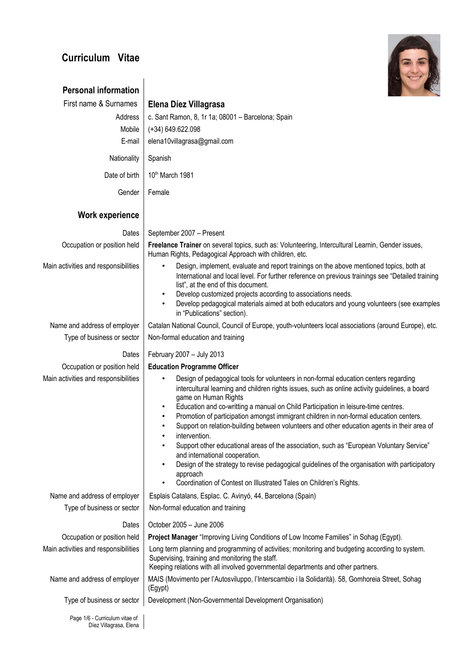# **Curriculum Vitae**



| <b>Personal information</b>                              |                                                                                                                                                                                                                                                                                                                                                                                                                                                                                                                              |  |  |  |  |  |
|----------------------------------------------------------|------------------------------------------------------------------------------------------------------------------------------------------------------------------------------------------------------------------------------------------------------------------------------------------------------------------------------------------------------------------------------------------------------------------------------------------------------------------------------------------------------------------------------|--|--|--|--|--|
| First name & Surnames                                    | Elena Díez Villagrasa                                                                                                                                                                                                                                                                                                                                                                                                                                                                                                        |  |  |  |  |  |
| Address                                                  | c. Sant Ramon, 8, 1r 1a; 08001 - Barcelona; Spain                                                                                                                                                                                                                                                                                                                                                                                                                                                                            |  |  |  |  |  |
| Mobile                                                   | $(+34)$ 649.622.098                                                                                                                                                                                                                                                                                                                                                                                                                                                                                                          |  |  |  |  |  |
| E-mail                                                   | elena10villagrasa@gmail.com                                                                                                                                                                                                                                                                                                                                                                                                                                                                                                  |  |  |  |  |  |
| Nationality                                              | Spanish                                                                                                                                                                                                                                                                                                                                                                                                                                                                                                                      |  |  |  |  |  |
| Date of birth                                            | 10th March 1981                                                                                                                                                                                                                                                                                                                                                                                                                                                                                                              |  |  |  |  |  |
| Gender                                                   | Female                                                                                                                                                                                                                                                                                                                                                                                                                                                                                                                       |  |  |  |  |  |
| <b>Work experience</b>                                   |                                                                                                                                                                                                                                                                                                                                                                                                                                                                                                                              |  |  |  |  |  |
| Dates                                                    | September 2007 - Present                                                                                                                                                                                                                                                                                                                                                                                                                                                                                                     |  |  |  |  |  |
| Occupation or position held                              | Freelance Trainer on several topics, such as: Volunteering, Intercultural Learnin, Gender issues,<br>Human Rights, Pedagogical Approach with children, etc.                                                                                                                                                                                                                                                                                                                                                                  |  |  |  |  |  |
| Main activities and responsibilities                     | Design, implement, evaluate and report trainings on the above mentioned topics, both at<br>$\bullet$<br>International and local level. For further reference on previous trainings see "Detailed training<br>list", at the end of this document.<br>Develop customized projects according to associations needs.<br>$\bullet$                                                                                                                                                                                                |  |  |  |  |  |
|                                                          | Develop pedagogical materials aimed at both educators and young volunteers (see examples<br>in "Publications" section).                                                                                                                                                                                                                                                                                                                                                                                                      |  |  |  |  |  |
| Name and address of employer                             | Catalan National Council, Council of Europe, youth-volunteers local associations (around Europe), etc.                                                                                                                                                                                                                                                                                                                                                                                                                       |  |  |  |  |  |
| Type of business or sector                               | Non-formal education and training                                                                                                                                                                                                                                                                                                                                                                                                                                                                                            |  |  |  |  |  |
| Dates                                                    | February 2007 - July 2013                                                                                                                                                                                                                                                                                                                                                                                                                                                                                                    |  |  |  |  |  |
| Occupation or position held                              | <b>Education Programme Officer</b>                                                                                                                                                                                                                                                                                                                                                                                                                                                                                           |  |  |  |  |  |
| Main activities and responsibilities                     | Design of pedagogical tools for volunteers in non-formal education centers regarding<br>$\bullet$<br>intercultural learning and children rights issues, such as online activity guidelines, a board<br>game on Human Rights<br>Education and co-writting a manual on Child Participation in leisure-time centres.<br>٠<br>Promotion of participation amongst immigrant children in non-formal education centers.<br>$\bullet$<br>Support on relation-building between volunteers and other education agents in their area of |  |  |  |  |  |
|                                                          | intervention.<br>Support other educational areas of the association, such as "European Voluntary Service"<br>and international cooperation.<br>Design of the strategy to revise pedagogical guidelines of the organisation with participatory<br>$\bullet$<br>approach<br>Coordination of Contest on Illustrated Tales on Children's Rights.<br>$\bullet$                                                                                                                                                                    |  |  |  |  |  |
| Name and address of employer                             | Esplais Catalans, Esplac. C. Avinyó, 44, Barcelona (Spain)                                                                                                                                                                                                                                                                                                                                                                                                                                                                   |  |  |  |  |  |
| Type of business or sector                               | Non-formal education and training                                                                                                                                                                                                                                                                                                                                                                                                                                                                                            |  |  |  |  |  |
|                                                          |                                                                                                                                                                                                                                                                                                                                                                                                                                                                                                                              |  |  |  |  |  |
| Dates<br>Occupation or position held                     | October 2005 - June 2006                                                                                                                                                                                                                                                                                                                                                                                                                                                                                                     |  |  |  |  |  |
| Main activities and responsibilities                     | Project Manager "Improving Living Conditions of Low Income Families" in Sohag (Egypt).<br>Long term planning and programming of activities; monitoring and budgeting according to system.                                                                                                                                                                                                                                                                                                                                    |  |  |  |  |  |
|                                                          | Supervising, training and monitoring the staff.<br>Keeping relations with all involved governmental departments and other partners.                                                                                                                                                                                                                                                                                                                                                                                          |  |  |  |  |  |
| Name and address of employer                             | MAIS (Movimento per l'Autosviluppo, l'Interscambio i la Solidarità). 58, Gomhoreia Street, Sohag<br>(Egypt)                                                                                                                                                                                                                                                                                                                                                                                                                  |  |  |  |  |  |
| Type of business or sector                               | Development (Non-Governmental Development Organisation)                                                                                                                                                                                                                                                                                                                                                                                                                                                                      |  |  |  |  |  |
| Page 1/6 - Curriculum vitae of<br>Díez Villagrasa, Elena |                                                                                                                                                                                                                                                                                                                                                                                                                                                                                                                              |  |  |  |  |  |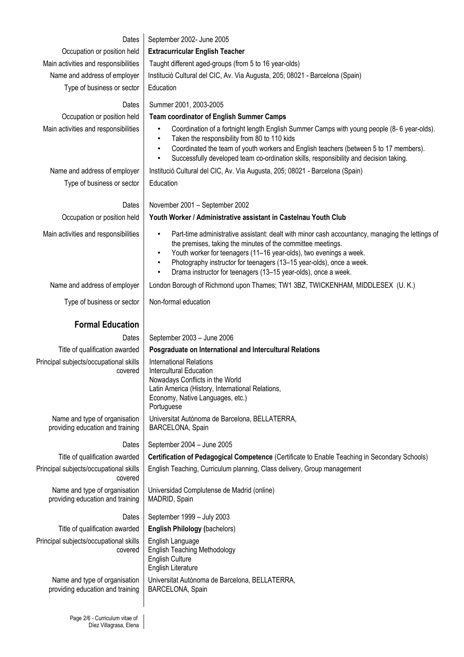| Dates                                                             | September 2002- June 2005                                                                                                                                                                                                                                                                                                                                                                                             |  |  |  |  |  |
|-------------------------------------------------------------------|-----------------------------------------------------------------------------------------------------------------------------------------------------------------------------------------------------------------------------------------------------------------------------------------------------------------------------------------------------------------------------------------------------------------------|--|--|--|--|--|
| Occupation or position held                                       | <b>Extracurricular English Teacher</b>                                                                                                                                                                                                                                                                                                                                                                                |  |  |  |  |  |
| Main activities and responsibilities                              | Taught different aged-groups (from 5 to 16 year-olds)                                                                                                                                                                                                                                                                                                                                                                 |  |  |  |  |  |
| Name and address of employer                                      | Institució Cultural del CIC, Av. Via Augusta, 205; 08021 - Barcelona (Spain)                                                                                                                                                                                                                                                                                                                                          |  |  |  |  |  |
| Type of business or sector                                        | Education                                                                                                                                                                                                                                                                                                                                                                                                             |  |  |  |  |  |
| Dates                                                             | Summer 2001, 2003-2005                                                                                                                                                                                                                                                                                                                                                                                                |  |  |  |  |  |
| Occupation or position held                                       | <b>Team coordinator of English Summer Camps</b>                                                                                                                                                                                                                                                                                                                                                                       |  |  |  |  |  |
| Main activities and responsibilities                              | Coordination of a fortnight length English Summer Camps with young people (8-6 year-olds).<br>Taken the responsibility from 80 to 110 kids<br>$\bullet$<br>Coordinated the team of youth workers and English teachers (between 5 to 17 members).<br>$\bullet$<br>Successfully developed team co-ordination skills, responsibility and decision taking.<br>$\bullet$                                                   |  |  |  |  |  |
| Name and address of employer                                      | Institució Cultural del CIC, Av. Via Augusta, 205; 08021 - Barcelona (Spain)                                                                                                                                                                                                                                                                                                                                          |  |  |  |  |  |
| Type of business or sector                                        | Education                                                                                                                                                                                                                                                                                                                                                                                                             |  |  |  |  |  |
|                                                                   |                                                                                                                                                                                                                                                                                                                                                                                                                       |  |  |  |  |  |
| Dates                                                             | November 2001 - September 2002                                                                                                                                                                                                                                                                                                                                                                                        |  |  |  |  |  |
| Occupation or position held                                       | Youth Worker / Administrative assistant in Castelnau Youth Club                                                                                                                                                                                                                                                                                                                                                       |  |  |  |  |  |
| Main activities and responsibilities                              | Part-time administrative assistant: dealt with minor cash accountancy, managing the lettings of<br>$\bullet$<br>the premises, taking the minutes of the committee meetings.<br>Youth worker for teenagers (11-16 year-olds), two evenings a week.<br>$\bullet$<br>Photography instructor for teenagers (13-15 year-olds), once a week.<br>$\bullet$<br>Drama instructor for teenagers (13-15 year-olds), once a week. |  |  |  |  |  |
| Name and address of employer                                      | London Borough of Richmond upon Thames; TW1 3BZ, TWICKENHAM, MIDDLESEX (U.K.)                                                                                                                                                                                                                                                                                                                                         |  |  |  |  |  |
| Type of business or sector                                        | Non-formal education                                                                                                                                                                                                                                                                                                                                                                                                  |  |  |  |  |  |
| <b>Formal Education</b>                                           |                                                                                                                                                                                                                                                                                                                                                                                                                       |  |  |  |  |  |
| Dates                                                             | September 2003 - June 2006                                                                                                                                                                                                                                                                                                                                                                                            |  |  |  |  |  |
| Title of qualification awarded                                    | Posgraduate on International and Intercultural Relations                                                                                                                                                                                                                                                                                                                                                              |  |  |  |  |  |
| Principal subjects/occupational skills<br>covered                 | International Relations<br>Intercultural Education<br>Nowadays Conflicts in the World<br>Latin America (History, International Relations,<br>Economy, Native Languages, etc.)<br>Portuguese                                                                                                                                                                                                                           |  |  |  |  |  |
| Name and type of organisation<br>providing education and training | Universitat Autònoma de Barcelona, BELLATERRA,<br>BARCELONA, Spain                                                                                                                                                                                                                                                                                                                                                    |  |  |  |  |  |
| Dates                                                             | September 2004 - June 2005                                                                                                                                                                                                                                                                                                                                                                                            |  |  |  |  |  |
| Title of qualification awarded                                    | Certification of Pedagogical Competence (Certificate to Enable Teaching in Secondary Schools)                                                                                                                                                                                                                                                                                                                         |  |  |  |  |  |
| Principal subjects/occupational skills<br>covered                 | English Teaching, Curriculum planning, Class delivery, Group management                                                                                                                                                                                                                                                                                                                                               |  |  |  |  |  |
| Name and type of organisation<br>providing education and training | Universidad Complutense de Madrid (online)<br>MADRID, Spain                                                                                                                                                                                                                                                                                                                                                           |  |  |  |  |  |
| Dates                                                             | September 1999 - July 2003                                                                                                                                                                                                                                                                                                                                                                                            |  |  |  |  |  |
| Title of qualification awarded                                    | <b>English Philology (bachelors)</b>                                                                                                                                                                                                                                                                                                                                                                                  |  |  |  |  |  |
| Principal subjects/occupational skills<br>covered                 | English Language<br><b>English Teaching Methodology</b><br><b>English Culture</b><br>English Literature                                                                                                                                                                                                                                                                                                               |  |  |  |  |  |
| Name and type of organisation<br>providing education and training | Universitat Autònoma de Barcelona, BELLATERRA,<br>BARCELONA, Spain                                                                                                                                                                                                                                                                                                                                                    |  |  |  |  |  |
|                                                                   |                                                                                                                                                                                                                                                                                                                                                                                                                       |  |  |  |  |  |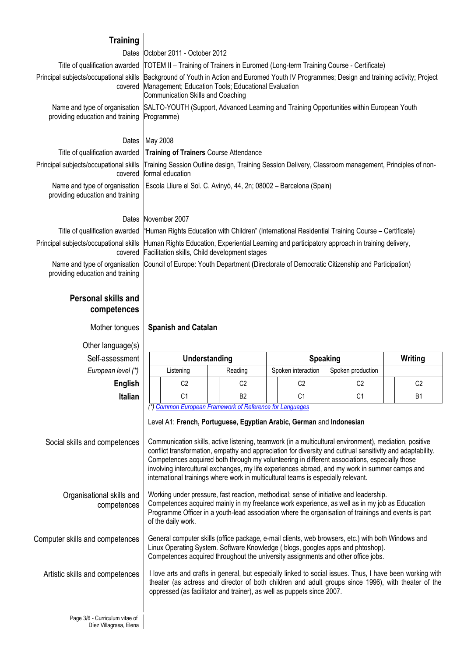| <b>Training</b>                                                   |                                                                                                                                                                                                                                         |  |  |  |  |  |
|-------------------------------------------------------------------|-----------------------------------------------------------------------------------------------------------------------------------------------------------------------------------------------------------------------------------------|--|--|--|--|--|
|                                                                   | Dates   October 2011 - October 2012                                                                                                                                                                                                     |  |  |  |  |  |
|                                                                   | Title of qualification awarded TOTEM II – Training of Trainers in Euromed (Long-term Training Course - Certificate)                                                                                                                     |  |  |  |  |  |
| covered                                                           | Principal subjects/occupational skills Background of Youth in Action and Euromed Youth IV Programmes; Design and training activity; Project<br>Management; Education Tools; Educational Evaluation<br>Communication Skills and Coaching |  |  |  |  |  |
| providing education and training Programme)                       | Name and type of organisation SALTO-YOUTH (Support, Advanced Learning and Training Opportunities within European Youth                                                                                                                  |  |  |  |  |  |
| Dates                                                             | May 2008                                                                                                                                                                                                                                |  |  |  |  |  |
|                                                                   | Title of qualification awarded   Training of Trainers Course Attendance                                                                                                                                                                 |  |  |  |  |  |
| covered                                                           | Principal subjects/occupational skills Training Session Outline design, Training Session Delivery, Classroom management, Principles of non-<br>formal education                                                                         |  |  |  |  |  |
| Name and type of organisation<br>providing education and training | Escola Lliure el Sol. C. Avinyó, 44, 2n; 08002 – Barcelona (Spain)                                                                                                                                                                      |  |  |  |  |  |
|                                                                   | Dates November 2007                                                                                                                                                                                                                     |  |  |  |  |  |
|                                                                   | Title of qualification awarded "Human Rights Education with Children" (International Residential Training Course – Certificate)                                                                                                         |  |  |  |  |  |
|                                                                   |                                                                                                                                                                                                                                         |  |  |  |  |  |

providing education and training

## **Personal skills and competences**

## Principal subjects/occupational skills Human Rights Education, Experiential Learning and participatory approach in training delivery, covered Facilitation skills, Child development stages Name and type of organisation Council of Europe: Youth Department **(**Directorate of Democratic Citizenship and Participation)

## Mother tongues **Spanish and Catalan**

| Other language(s)                                        |                                                                                                                                                                                                                                                                                                                                                                                                                                                                                                                                                                                                                                                  |                      |                |                    |                 |                   |                |
|----------------------------------------------------------|--------------------------------------------------------------------------------------------------------------------------------------------------------------------------------------------------------------------------------------------------------------------------------------------------------------------------------------------------------------------------------------------------------------------------------------------------------------------------------------------------------------------------------------------------------------------------------------------------------------------------------------------------|----------------------|----------------|--------------------|-----------------|-------------------|----------------|
| Self-assessment                                          |                                                                                                                                                                                                                                                                                                                                                                                                                                                                                                                                                                                                                                                  | <b>Understanding</b> |                |                    | <b>Speaking</b> | Writing           |                |
| European level (*)                                       |                                                                                                                                                                                                                                                                                                                                                                                                                                                                                                                                                                                                                                                  | Listening            | Reading        | Spoken interaction |                 | Spoken production |                |
| <b>English</b>                                           |                                                                                                                                                                                                                                                                                                                                                                                                                                                                                                                                                                                                                                                  | C <sub>2</sub>       | C <sub>2</sub> |                    | C <sub>2</sub>  | C <sub>2</sub>    | C <sub>2</sub> |
| <b>Italian</b>                                           |                                                                                                                                                                                                                                                                                                                                                                                                                                                                                                                                                                                                                                                  | C <sub>1</sub>       | <b>B2</b>      |                    | C <sub>1</sub>  | C <sub>1</sub>    | <b>B1</b>      |
| Social skills and competences                            | (*) Common European Framework of Reference for Languages<br>Level A1: French, Portuguese, Egyptian Arabic, German and Indonesian<br>Communication skills, active listening, teamwork (in a multicultural environment), mediation, positive<br>conflict transformation, empathy and appreciation for diversity and cutlrual sensitivity and adaptability.<br>Competences acquired both through my volunteering in different associations, especially those<br>involving intercultural exchanges, my life experiences abroad, and my work in summer camps and<br>international trainings where work in multicultural teams is especially relevant. |                      |                |                    |                 |                   |                |
| Organisational skills and<br>competences                 | Working under pressure, fast reaction, methodical; sense of initiative and leadership.<br>Competences acquired mainly in my freelance work experience, as well as in my job as Education<br>Programme Officer in a youth-lead association where the organisation of trainings and events is part<br>of the daily work.                                                                                                                                                                                                                                                                                                                           |                      |                |                    |                 |                   |                |
| Computer skills and competences                          | General computer skills (office package, e-mail clients, web browsers, etc.) with both Windows and<br>Linux Operating System. Software Knowledge (blogs, googles apps and phtoshop).<br>Competences acquired throughout the university assignments and other office jobs.                                                                                                                                                                                                                                                                                                                                                                        |                      |                |                    |                 |                   |                |
| Artistic skills and competences                          | I love arts and crafts in general, but especially linked to social issues. Thus, I have been working with<br>theater (as actress and director of both children and adult groups since 1996), with theater of the<br>oppressed (as facilitator and trainer), as well as puppets since 2007.                                                                                                                                                                                                                                                                                                                                                       |                      |                |                    |                 |                   |                |
| Page 3/6 - Curriculum vitae of<br>Díez Villagrasa, Elena |                                                                                                                                                                                                                                                                                                                                                                                                                                                                                                                                                                                                                                                  |                      |                |                    |                 |                   |                |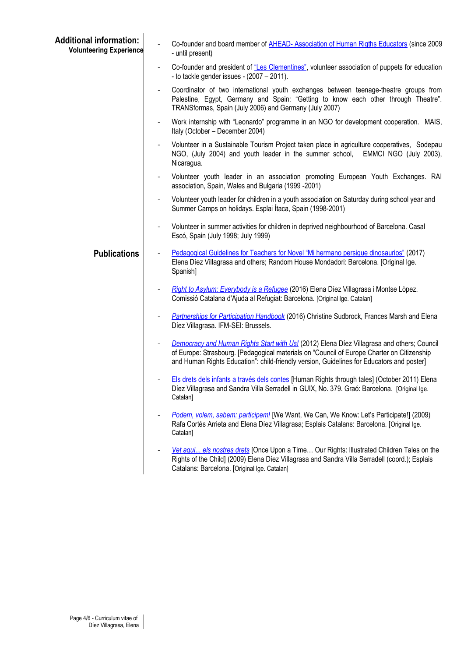| <b>Additional information:</b><br><b>Volunteering Experience</b> | Co-founder and board member of AHEAD-Association of Human Rigths Educators (since 2009<br>- until present)                                                                                                                                                                            |
|------------------------------------------------------------------|---------------------------------------------------------------------------------------------------------------------------------------------------------------------------------------------------------------------------------------------------------------------------------------|
|                                                                  | Co-founder and president of "Les Clementines", volunteer association of puppets for education<br>- to tackle gender issues - $(2007 - 2011)$ .                                                                                                                                        |
|                                                                  | Coordinator of two international youth exchanges between teenage-theatre groups from<br>Palestine, Egypt, Germany and Spain: "Getting to know each other through Theatre".<br>TRANSformas, Spain (July 2006) and Germany (July 2007)                                                  |
|                                                                  | Work internship with "Leonardo" programme in an NGO for development cooperation. MAIS,<br>Italy (October - December 2004)                                                                                                                                                             |
|                                                                  | Volunteer in a Sustainable Tourism Project taken place in agriculture cooperatives, Sodepau<br>NGO, (July 2004) and youth leader in the summer school, EMMCI NGO (July 2003),<br>Nicaragua.                                                                                           |
|                                                                  | Volunteer youth leader in an association promoting European Youth Exchanges. RAI<br>$\overline{\phantom{a}}$<br>association, Spain, Wales and Bulgaria (1999 -2001)                                                                                                                   |
|                                                                  | Volunteer youth leader for children in a youth association on Saturday during school year and<br>$\qquad \qquad \blacksquare$<br>Summer Camps on holidays. Esplai Ítaca, Spain (1998-2001)                                                                                            |
|                                                                  | Volunteer in summer activities for children in deprived neighbourhood of Barcelona. Casal<br>$\qquad \qquad \blacksquare$<br>Escó, Spain (July 1998; July 1999)                                                                                                                       |
| <b>Publications</b>                                              | Pedagogical Guidelines for Teachers for Novel "Mi hermano persigue dinosaurios" (2017)<br>Elena Díez Villagrasa and others; Random House Mondadori: Barcelona. [Original Ige.<br>Spanish]                                                                                             |
|                                                                  | Right to Asylum: Everybody is a Refugee (2016) Elena Díez Villagrasa i Montse Lòpez.<br>$\overline{\phantom{a}}$<br>Comissió Catalana d'Ajuda al Refugiat: Barcelona. [Original Ige. Catalan]                                                                                         |
|                                                                  | Partnerships for Participation Handbook (2016) Christine Sudbrock, Frances Marsh and Elena<br>Díez Villagrasa. IFM-SEI: Brussels.                                                                                                                                                     |
|                                                                  | Democracy and Human Rights Start with Us! (2012) Elena Díez Villagrasa and others; Council<br>of Europe: Strasbourg. [Pedagogical materials on "Council of Europe Charter on Citizenship<br>and Human Rights Education": child-friendly version, Guidelines for Educators and poster] |
|                                                                  | Els drets dels infants a través dels contes [Human Rights through tales] (October 2011) Elena<br>Díez Villagrasa and Sandra Villa Serradell in GUIX, No. 379. Graó: Barcelona. [Original Ige.<br>Catalan]                                                                             |
|                                                                  | Podem, volem, sabem: participem! [We Want, We Can, We Know: Let's Participate!] (2009)<br>Rafa Cortés Arrieta and Elena Díez Villagrasa; Esplais Catalans: Barcelona. [Original Ige.<br>Catalan]                                                                                      |
|                                                                  | Vet aquí els nostres drets [Once Upon a Time Our Rights: Illustrated Children Tales on the<br>Rights of the Child] (2009) Elena Díez Villagrasa and Sandra Villa Serradell (coord.); Esplais<br>Catalans: Barcelona. [Original Ige. Catalan]                                          |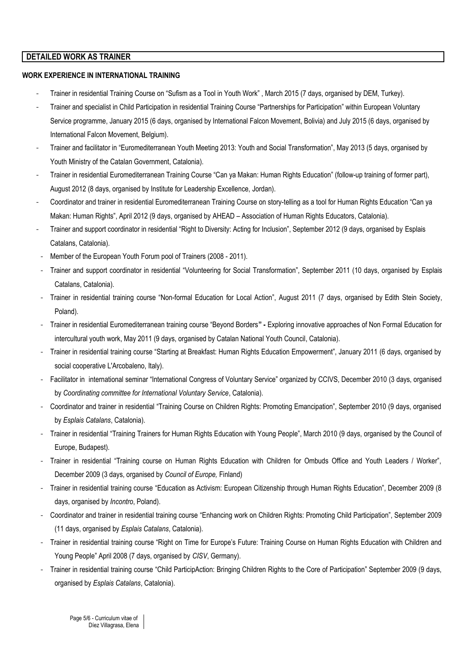## **DETAILED WORK AS TRAINER**

#### **WORK EXPERIENCE IN INTERNATIONAL TRAINING**

- Trainer in residential Training Course on "Sufism as a Tool in Youth Work" , March 2015 (7 days, organised by DEM, Turkey).
- Trainer and specialist in Child Participation in residential Training Course "Partnerships for Participation" within European Voluntary Service programme, January 2015 (6 days, organised by International Falcon Movement, Bolivia) and July 2015 (6 days, organised by International Falcon Movement, Belgium).
- Trainer and facilitator in "Euromediterranean Youth Meeting 2013: Youth and Social Transformation", May 2013 (5 days, organised by Youth Ministry of the Catalan Government, Catalonia).
- Trainer in residential Euromediterranean Training Course "Can ya Makan: Human Rights Education" (follow-up training of former part), August 2012 (8 days, organised by Institute for Leadership Excellence, Jordan).
- Coordinator and trainer in residential Euromediterranean Training Course on story-telling as a tool for Human Rights Education "Can ya Makan: Human Rights", April 2012 (9 days, organised by AHEAD – Association of Human Rights Educators, Catalonia).
- Trainer and support coordinator in residential "Right to Diversity: Acting for Inclusion", September 2012 (9 days, organised by Esplais Catalans, Catalonia).
- Member of the European Youth Forum pool of Trainers (2008 2011).
- Trainer and support coordinator in residential "Volunteering for Social Transformation", September 2011 (10 days, organised by Esplais Catalans, Catalonia).
- Trainer in residential training course "Non-formal Education for Local Action", August 2011 (7 days, organised by Edith Stein Society, Poland).
- Trainer in residential Euromediterranean training course "Beyond Borders**"** Exploring innovative approaches of Non Formal Education for intercultural youth work, May 2011 (9 days, organised by Catalan National Youth Council, Catalonia).
- Trainer in residential training course "Starting at Breakfast: Human Rights Education Empowerment", January 2011 (6 days, organised by social cooperative L'Arcobaleno, Italy).
- Facilitator in international seminar "International Congress of Voluntary Service" organized by CCIVS, December 2010 (3 days, organised by *Coordinating committee for International Voluntary Service*, Catalonia).
- Coordinator and trainer in residential "Training Course on Children Rights: Promoting Emancipation", September 2010 (9 days, organised by *Esplais Catalans*, Catalonia).
- Trainer in residential "Training Trainers for Human Rights Education with Young People", March 2010 (9 days, organised by the Council of Europe, Budapest).
- Trainer in residential "Training course on Human Rights Education with Children for Ombuds Office and Youth Leaders / Worker", December 2009 (3 days, organised by *Council of Europe,* Finland)
- Trainer in residential training course "Education as Activism: European Citizenship through Human Rights Education", December 2009 (8 days, organised by *Incontro*, Poland).
- Coordinator and trainer in residential training course "Enhancing work on Children Rights: Promoting Child Participation", September 2009 (11 days, organised by *Esplais Catalans*, Catalonia).
- Trainer in residential training course "Right on Time for Europe's Future: Training Course on Human Rights Education with Children and Young People" April 2008 (7 days, organised by *CISV*, Germany).
- Trainer in residential training course "Child ParticipAction: Bringing Children Rights to the Core of Participation" September 2009 (9 days, organised by *Esplais Catalans*, Catalonia).